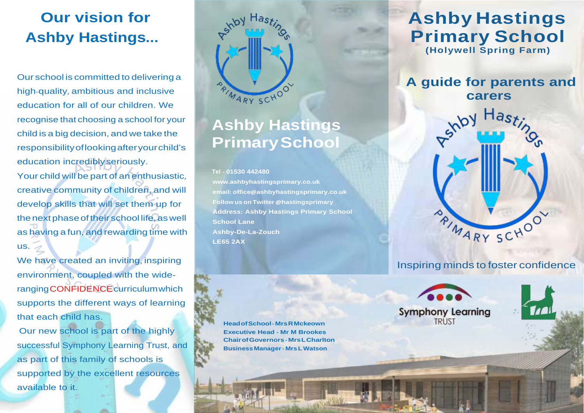# **Our vision for Ashby Hastings...**

Our school is committed to delivering a high-quality, ambitious and inclusive education for all of our children. We recognise that choosing a school for your child is a big decision, and we take the responsibilityoflookingafteryourchild's education incrediblyseriously.

Your child will be part of an enthusiastic, creative community of children, and will develop skills that will set them up for the next phase of their school life, as well as having a fun, and rewarding time with us.

We have created an inviting, inspiring environment, coupled with the widerangingCONFIDENCEcurriculumwhich supports the different ways of learning that each child has.

Our new school is part of the highly successful Symphony Learning Trust, and as part of this family of schools is supported by the excellent resources available to it.



# **Ashby Hastings PrimarySchool**

#### **Tel - 01530 442480**

**www.[ashbyhastingsprimary](http://www.ashbyhastingsprimary.co.uk/).co.uk email: office@[ashbyhastingsprimary](mailto:office@ashbyhastingsprimary.co.uk).co.uk Follow us on Twitter @hastingsprimary Address: Ashby Hastings Primary School School Lane Ashby-De-La-Zouch LE65 2AX**

**HeadofSchool-MrsRMckeown Executive Head - Mr M Brookes ChairofGovernors- MrsLCharlton BusinessManager- MrsL Watson**

# **Ashby Hastings Primary School**

**(Holywell Spring Farm)**

### **A guide for parents and carers**



#### Inspiring minds to foster confidence